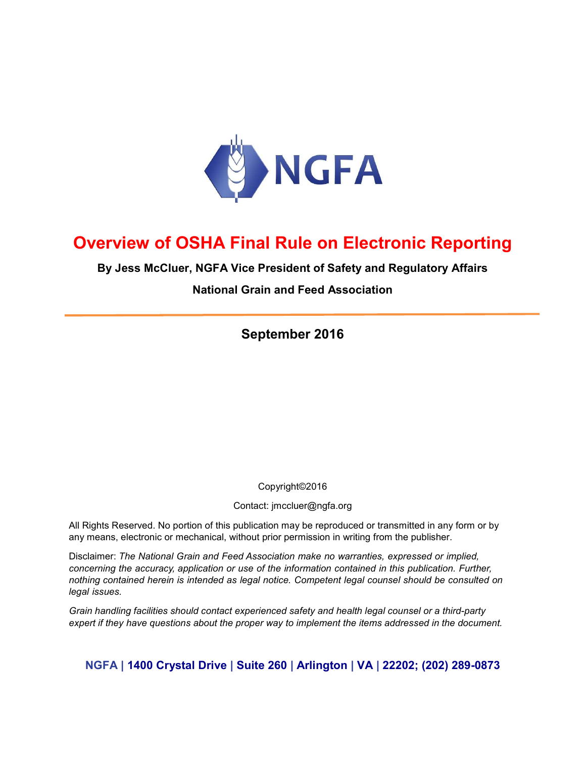

# Overview of OSHA Final Rule on Electronic Reporting

By Jess McCluer, NGFA Vice President of Safety and Regulatory Affairs

National Grain and Feed Association

September 2016

Copyright©2016

Contact: jmccluer@ngfa.org

All Rights Reserved. No portion of this publication may be reproduced or transmitted in any form or by any means, electronic or mechanical, without prior permission in writing from the publisher.

Disclaimer: The National Grain and Feed Association make no warranties, expressed or implied, concerning the accuracy, application or use of the information contained in this publication. Further, nothing contained herein is intended as legal notice. Competent legal counsel should be consulted on legal issues.

Grain handling facilities should contact experienced safety and health legal counsel or a third-party expert if they have questions about the proper way to implement the items addressed in the document.

NGFA | 1400 Crystal Drive | Suite 260 | Arlington | VA | 22202; (202) 289-0873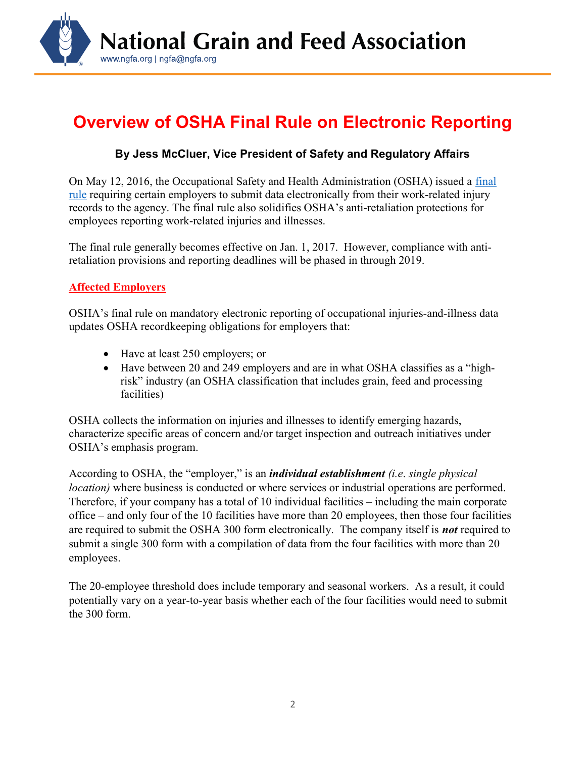

# Overview of OSHA Final Rule on Electronic Reporting

# By Jess McCluer, Vice President of Safety and Regulatory Affairs

On May 12, 2016, the Occupational Safety and Health Administration (OSHA) issued a final rule requiring certain employers to submit data electronically from their work-related injury records to the agency. The final rule also solidifies OSHA's anti-retaliation protections for employees reporting work-related injuries and illnesses.

The final rule generally becomes effective on Jan. 1, 2017. However, compliance with antiretaliation provisions and reporting deadlines will be phased in through 2019.

#### Affected Employers

OSHA's final rule on mandatory electronic reporting of occupational injuries-and-illness data updates OSHA recordkeeping obligations for employers that:

- Have at least 250 employers; or
- Have between 20 and 249 employers and are in what OSHA classifies as a "highrisk" industry (an OSHA classification that includes grain, feed and processing facilities)

OSHA collects the information on injuries and illnesses to identify emerging hazards, characterize specific areas of concern and/or target inspection and outreach initiatives under OSHA's emphasis program.

According to OSHA, the "employer," is an *individual establishment* (*i.e. single physical* location) where business is conducted or where services or industrial operations are performed. Therefore, if your company has a total of 10 individual facilities – including the main corporate office – and only four of the 10 facilities have more than 20 employees, then those four facilities are required to submit the OSHA 300 form electronically. The company itself is **not** required to submit a single 300 form with a compilation of data from the four facilities with more than 20 employees.

The 20-employee threshold does include temporary and seasonal workers. As a result, it could potentially vary on a year-to-year basis whether each of the four facilities would need to submit the 300 form.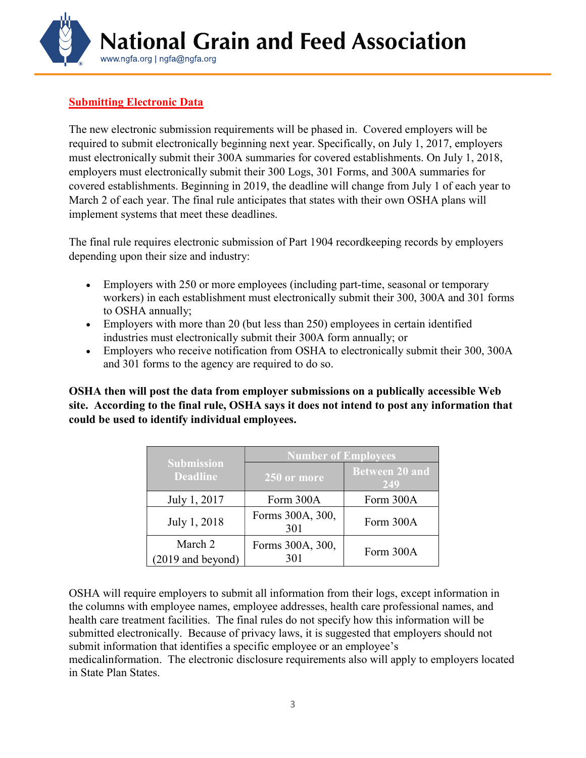

# **Submitting Electronic Data**

The new electronic submission requirements will be phased in. Covered employers will be required to submit electronically beginning next year. Specifically, on July 1, 2017, employers must electronically submit their 300A summaries for covered establishments. On July 1, 2018, employers must electronically submit their 300 Logs, 301 Forms, and 300A summaries for covered establishments. Beginning in 2019, the deadline will change from July 1 of each year to March 2 of each year. The final rule anticipates that states with their own OSHA plans will implement systems that meet these deadlines.

The final rule requires electronic submission of Part 1904 recordkeeping records by employers depending upon their size and industry:

- Employers with 250 or more employees (including part-time, seasonal or temporary workers) in each establishment must electronically submit their 300, 300A and 301 forms to OSHA annually;
- Employers with more than 20 (but less than 250) employees in certain identified industries must electronically submit their 300A form annually; or
- Employers who receive notification from OSHA to electronically submit their 300, 300A and 301 forms to the agency are required to do so.

OSHA then will post the data from employer submissions on a publically accessible Web site. According to the final rule, OSHA says it does not intend to post any information that could be used to identify individual employees.

| <b>Submission</b><br><b>Deadline</b> | <b>Number of Employees</b> |                              |
|--------------------------------------|----------------------------|------------------------------|
|                                      | 250 or more                | <b>Between 20 and</b><br>249 |
| July 1, 2017                         | Form 300A                  | Form 300A                    |
| July 1, 2018                         | Forms 300A, 300,<br>301    | Form 300A                    |
| March 2<br>(2019 and beyond)         | Forms 300A, 300,<br>301    | Form 300A                    |

OSHA will require employers to submit all information from their logs, except information in the columns with employee names, employee addresses, health care professional names, and health care treatment facilities. The final rules do not specify how this information will be submitted electronically. Because of privacy laws, it is suggested that employers should not submit information that identifies a specific employee or an employee's medicalinformation. The electronic disclosure requirements also will apply to employers located in State Plan States.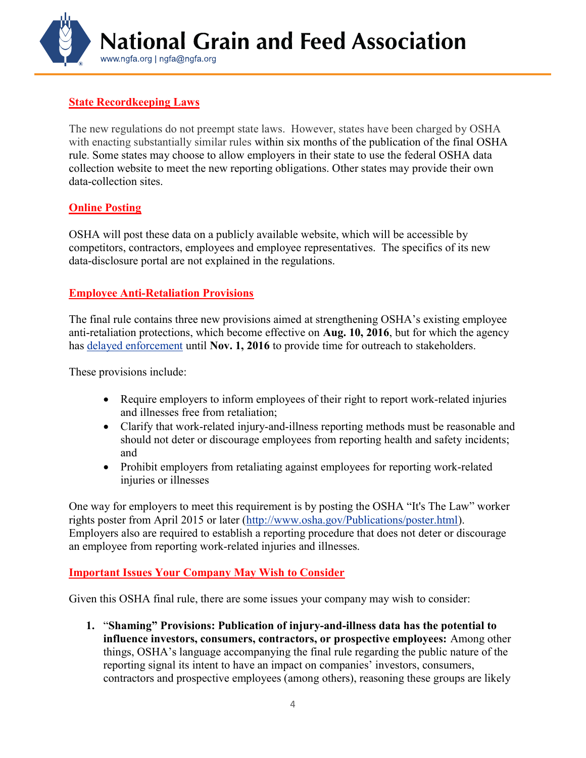

### State Recordkeeping Laws

The new regulations do not preempt state laws. However, states have been charged by OSHA with enacting substantially similar rules within six months of the publication of the final OSHA rule. Some states may choose to allow employers in their state to use the federal OSHA data collection website to meet the new reporting obligations. Other states may provide their own data-collection sites.

#### **Online Posting**

OSHA will post these data on a publicly available website, which will be accessible by competitors, contractors, employees and employee representatives. The specifics of its new data-disclosure portal are not explained in the regulations.

#### Employee Anti-Retaliation Provisions

The final rule contains three new provisions aimed at strengthening OSHA's existing employee anti-retaliation protections, which become effective on Aug. 10, 2016, but for which the agency has delayed enforcement until Nov. 1, 2016 to provide time for outreach to stakeholders.

These provisions include:

- Require employers to inform employees of their right to report work-related injuries and illnesses free from retaliation;
- Clarify that work-related injury-and-illness reporting methods must be reasonable and should not deter or discourage employees from reporting health and safety incidents; and
- Prohibit employers from retaliating against employees for reporting work-related injuries or illnesses

One way for employers to meet this requirement is by posting the OSHA "It's The Law" worker rights poster from April 2015 or later (http://www.osha.gov/Publications/poster.html). Employers also are required to establish a reporting procedure that does not deter or discourage an employee from reporting work-related injuries and illnesses.

#### Important Issues Your Company May Wish to Consider

Given this OSHA final rule, there are some issues your company may wish to consider:

1. "Shaming" Provisions: Publication of injury-and-illness data has the potential to influence investors, consumers, contractors, or prospective employees: Among other things, OSHA's language accompanying the final rule regarding the public nature of the reporting signal its intent to have an impact on companies' investors, consumers, contractors and prospective employees (among others), reasoning these groups are likely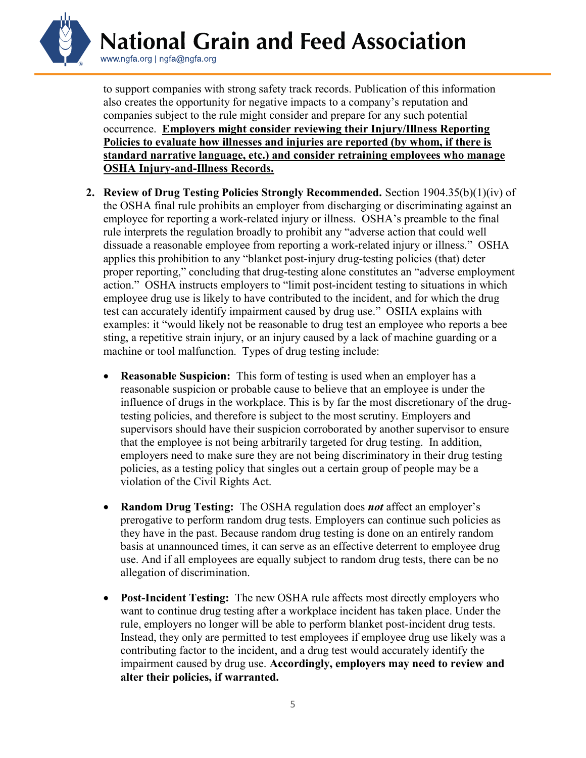

to support companies with strong safety track records. Publication of this information also creates the opportunity for negative impacts to a company's reputation and companies subject to the rule might consider and prepare for any such potential occurrence. Employers might consider reviewing their Injury/Illness Reporting Policies to evaluate how illnesses and injuries are reported (by whom, if there is standard narrative language, etc.) and consider retraining employees who manage OSHA Injury-and-Illness Records.

- 2. Review of Drug Testing Policies Strongly Recommended. Section 1904.35(b)(1)(iv) of the OSHA final rule prohibits an employer from discharging or discriminating against an employee for reporting a work-related injury or illness. OSHA's preamble to the final rule interprets the regulation broadly to prohibit any "adverse action that could well dissuade a reasonable employee from reporting a work-related injury or illness." OSHA applies this prohibition to any "blanket post-injury drug-testing policies (that) deter proper reporting," concluding that drug-testing alone constitutes an "adverse employment action." OSHA instructs employers to "limit post-incident testing to situations in which employee drug use is likely to have contributed to the incident, and for which the drug test can accurately identify impairment caused by drug use." OSHA explains with examples: it "would likely not be reasonable to drug test an employee who reports a bee sting, a repetitive strain injury, or an injury caused by a lack of machine guarding or a machine or tool malfunction. Types of drug testing include:
	- Reasonable Suspicion: This form of testing is used when an employer has a reasonable suspicion or probable cause to believe that an employee is under the influence of drugs in the workplace. This is by far the most discretionary of the drugtesting policies, and therefore is subject to the most scrutiny. Employers and supervisors should have their suspicion corroborated by another supervisor to ensure that the employee is not being arbitrarily targeted for drug testing. In addition, employers need to make sure they are not being discriminatory in their drug testing policies, as a testing policy that singles out a certain group of people may be a violation of the Civil Rights Act.
	- Random Drug Testing: The OSHA regulation does *not* affect an employer's prerogative to perform random drug tests. Employers can continue such policies as they have in the past. Because random drug testing is done on an entirely random basis at unannounced times, it can serve as an effective deterrent to employee drug use. And if all employees are equally subject to random drug tests, there can be no allegation of discrimination.
	- Post-Incident Testing: The new OSHA rule affects most directly employers who want to continue drug testing after a workplace incident has taken place. Under the rule, employers no longer will be able to perform blanket post-incident drug tests. Instead, they only are permitted to test employees if employee drug use likely was a contributing factor to the incident, and a drug test would accurately identify the impairment caused by drug use. Accordingly, employers may need to review and alter their policies, if warranted.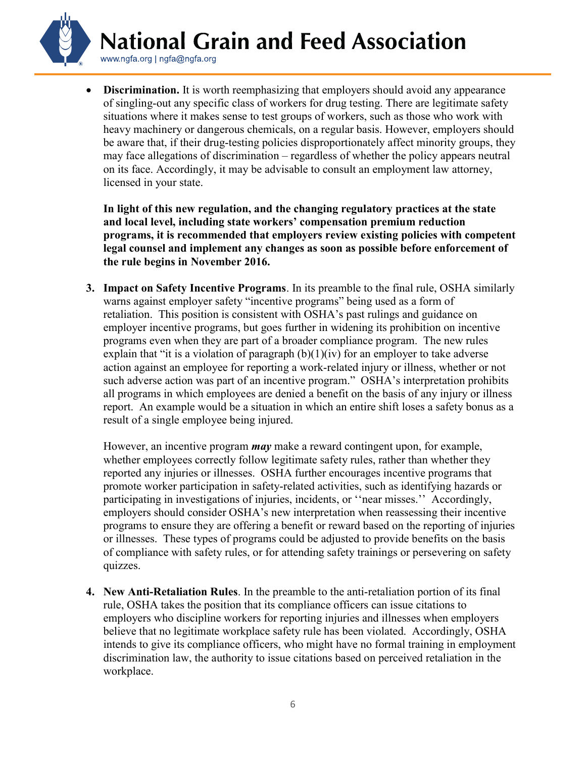**National Grain and Feed Association** 

www.ngfa.org | ngfa@ngfa.org

• Discrimination. It is worth reemphasizing that employers should avoid any appearance of singling-out any specific class of workers for drug testing. There are legitimate safety situations where it makes sense to test groups of workers, such as those who work with heavy machinery or dangerous chemicals, on a regular basis. However, employers should be aware that, if their drug-testing policies disproportionately affect minority groups, they may face allegations of discrimination – regardless of whether the policy appears neutral on its face. Accordingly, it may be advisable to consult an employment law attorney, licensed in your state.

In light of this new regulation, and the changing regulatory practices at the state and local level, including state workers' compensation premium reduction programs, it is recommended that employers review existing policies with competent legal counsel and implement any changes as soon as possible before enforcement of the rule begins in November 2016.

3. Impact on Safety Incentive Programs. In its preamble to the final rule, OSHA similarly warns against employer safety "incentive programs" being used as a form of retaliation. This position is consistent with OSHA's past rulings and guidance on employer incentive programs, but goes further in widening its prohibition on incentive programs even when they are part of a broader compliance program. The new rules explain that "it is a violation of paragraph  $(b)(1)(iv)$  for an employer to take adverse action against an employee for reporting a work-related injury or illness, whether or not such adverse action was part of an incentive program." OSHA's interpretation prohibits all programs in which employees are denied a benefit on the basis of any injury or illness report. An example would be a situation in which an entire shift loses a safety bonus as a result of a single employee being injured.

However, an incentive program *may* make a reward contingent upon, for example, whether employees correctly follow legitimate safety rules, rather than whether they reported any injuries or illnesses. OSHA further encourages incentive programs that promote worker participation in safety-related activities, such as identifying hazards or participating in investigations of injuries, incidents, or ''near misses.'' Accordingly, employers should consider OSHA's new interpretation when reassessing their incentive programs to ensure they are offering a benefit or reward based on the reporting of injuries or illnesses. These types of programs could be adjusted to provide benefits on the basis of compliance with safety rules, or for attending safety trainings or persevering on safety quizzes.

4. New Anti-Retaliation Rules. In the preamble to the anti-retaliation portion of its final rule, OSHA takes the position that its compliance officers can issue citations to employers who discipline workers for reporting injuries and illnesses when employers believe that no legitimate workplace safety rule has been violated. Accordingly, OSHA intends to give its compliance officers, who might have no formal training in employment discrimination law, the authority to issue citations based on perceived retaliation in the workplace.